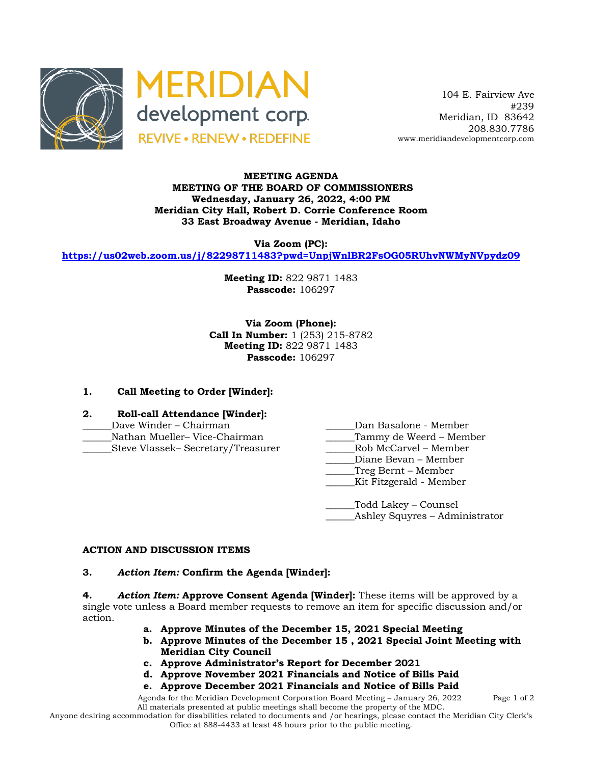



 104 E. Fairview Ave #239 Meridian, ID 83642 208.830.7786 www.meridiandevelopmentcorp.com

## **MEETING AGENDA MEETING OF THE BOARD OF COMMISSIONERS Wednesday, January 26, 2022, 4:00 PM Meridian City Hall, Robert D. Corrie Conference Room 33 East Broadway Avenue - Meridian, Idaho**

**Via Zoom (PC):**

**https://us02web.zoom.us/j/82298711483?pwd=UnpjWnlBR2FsOG05RUhvNWMyNVpydz09**

**Meeting ID:** 822 9871 1483 **Passcode:** 106297

**Via Zoom (Phone): Call In Number:** 1 (253) 215-8782 **Meeting ID:** 822 9871 1483 **Passcode:** 106297

## **1. Call Meeting to Order [Winder]:**

- **2. Roll-call Attendance [Winder]:**
- \_\_\_\_\_\_Dave Winder Chairman \_\_\_\_\_\_Dan Basalone Member
- Nathan Mueller– Vice-Chairman \_\_\_\_\_\_Steve Vlassek– Secretary/Treasurer \_\_\_\_\_\_Rob McCarvel – Member
- -
	-
	- Diane Bevan Member
	- \_\_\_\_\_\_Treg Bernt Member
		- \_\_\_\_\_\_Kit Fitzgerald Member

\_\_\_\_\_\_Todd Lakey – Counsel Ashley Squyres – Administrator

#### **ACTION AND DISCUSSION ITEMS**

#### **3.** *Action Item:* **Confirm the Agenda [Winder]:**

**4.** *Action Item:* **Approve Consent Agenda [Winder]:** These items will be approved by a single vote unless a Board member requests to remove an item for specific discussion and/or action.

- **a. Approve Minutes of the December 15, 2021 Special Meeting**
- **b. Approve Minutes of the December 15 , 2021 Special Joint Meeting with Meridian City Council**
- **c. Approve Administrator's Report for December 2021**
- **d. Approve November 2021 Financials and Notice of Bills Paid**
- **e. Approve December 2021 Financials and Notice of Bills Paid**

Agenda for the Meridian Development Corporation Board Meeting – January 26, 2022 Page 1 of 2 All materials presented at public meetings shall become the property of the MDC.

Anyone desiring accommodation for disabilities related to documents and /or hearings, please contact the Meridian City Clerk's Office at 888-4433 at least 48 hours prior to the public meeting.